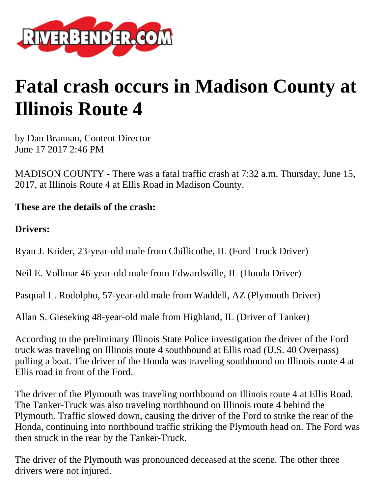

## **Fatal crash occurs in Madison County at Illinois Route 4**

by Dan Brannan, Content Director June 17 2017 2:46 PM

MADISON COUNTY - There was a fatal traffic crash at 7:32 a.m. Thursday, June 15, 2017, at Illinois Route 4 at Ellis Road in Madison County.

**These are the details of the crash:**

**Drivers:**

Ryan J. Krider, 23-year-old male from Chillicothe, IL (Ford Truck Driver)

Neil E. Vollmar 46-year-old male from Edwardsville, IL (Honda Driver)

Pasqual L. Rodolpho, 57-year-old male from Waddell, AZ (Plymouth Driver)

Allan S. Gieseking 48-year-old male from Highland, IL (Driver of Tanker)

According to the preliminary Illinois State Police investigation the driver of the Ford truck was traveling on Illinois route 4 southbound at Ellis road (U.S. 40 Overpass) pulling a boat. The driver of the Honda was traveling southbound on Illinois route 4 at Ellis road in front of the Ford.

The driver of the Plymouth was traveling northbound on Illinois route 4 at Ellis Road. The Tanker-Truck was also traveling northbound on Illinois route 4 behind the Plymouth. Traffic slowed down, causing the driver of the Ford to strike the rear of the Honda, continuing into northbound traffic striking the Plymouth head on. The Ford was then struck in the rear by the Tanker-Truck.

The driver of the Plymouth was pronounced deceased at the scene. The other three drivers were not injured.